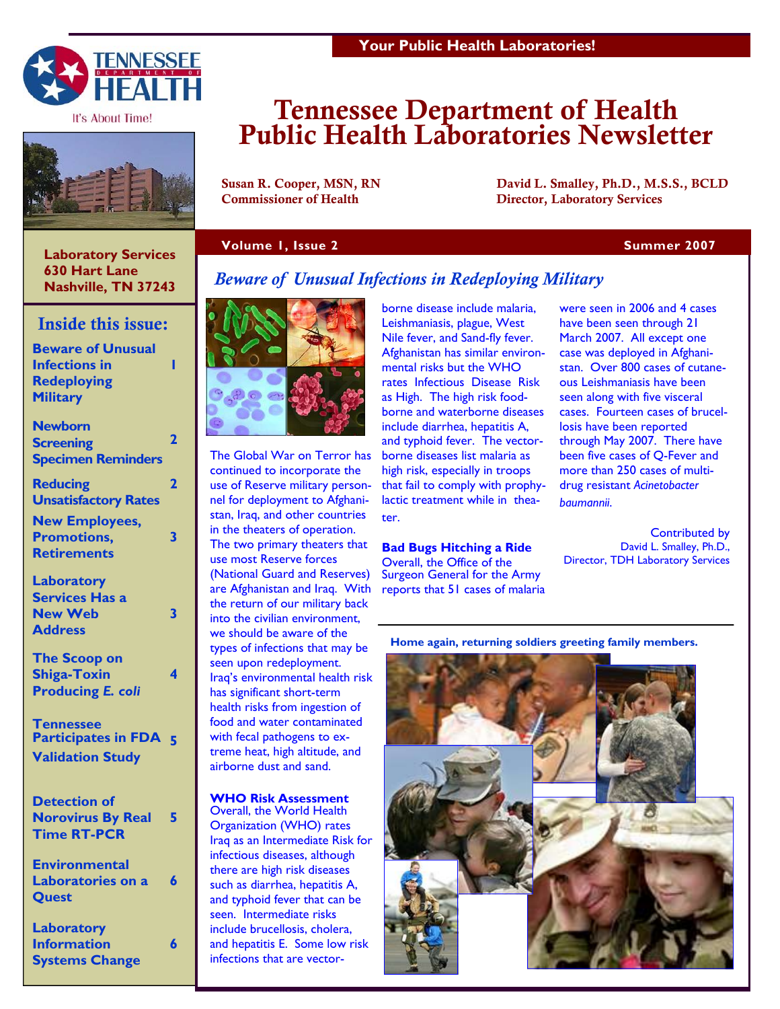

It's About Time!



# Tennessee Department of Health Public Health Laboratories Newsletter

Susan R. Cooper, MSN, RN David L. Smalley, Ph.D., M.S.S., BCLD Commissioner of Health Director, Laboratory Services

### **Volume 1, Issue 2 Summer 2007 Summer 2007**

 **Laboratory Services 630 Hart Lane Nashville, TN 37243** 

# Inside this issue:

| <b>Beware of Unusual</b><br><b>Infections in</b><br><b>Redeploying</b><br><b>Military</b> |   |
|-------------------------------------------------------------------------------------------|---|
| <b>Newborn</b><br><b>Screening</b><br><b>Specimen Reminders</b>                           | 2 |
| <b>Reducing</b><br><b>Unsatisfactory Rates</b>                                            | 2 |
| <b>New Employees,</b><br><b>Promotions,</b><br><b>Retirements</b>                         | 3 |
| Laboratory<br><b>Services Has a</b><br><b>New Web</b><br><b>Address</b>                   | 3 |
| <b>The Scoop on</b><br><b>Shiga-Toxin</b><br><b>Producing E. coli</b>                     | 4 |
| <b>Tennessee</b><br><b>Participates in FDA</b><br><b>Validation Study</b>                 |   |
| <b>Detection of</b><br><b>Norovirus By Real</b><br><b>Time RT-PCR</b>                     | 5 |

**Environmental Laboratories on a Quest 6** 

**Laboratory Information Systems Change** 

**6** 

# *Beware of Unusual Infections in Redeploying Military*



The Global War on Terror has continued to incorporate the use of Reserve military personnel for deployment to Afghanistan, Iraq, and other countries in the theaters of operation. The two primary theaters that use most Reserve forces (National Guard and Reserves) are Afghanistan and Iraq. With the return of our military back into the civilian environment, we should be aware of the types of infections that may be seen upon redeployment. Iraq's environmental health risk has significant short-term health risks from ingestion of food and water contaminated with fecal pathogens to extreme heat, high altitude, and airborne dust and sand.

**WHO Risk Assessment**  Overall, the World Health Organization (WHO) rates Iraq as an Intermediate Risk for infectious diseases, although there are high risk diseases such as diarrhea, hepatitis A, and typhoid fever that can be seen. Intermediate risks include brucellosis, cholera, and hepatitis E. Some low risk infections that are vector-

borne disease include malaria, Leishmaniasis, plague, West Nile fever, and Sand-fly fever. Afghanistan has similar environmental risks but the WHO rates Infectious Disease Risk as High. The high risk foodborne and waterborne diseases include diarrhea, hepatitis A, and typhoid fever. The vectorborne diseases list malaria as high risk, especially in troops that fail to comply with prophylactic treatment while in theater.

# **Bad Bugs Hitching a Ride**

Overall, the Office of the Surgeon General for the Army reports that 51 cases of malaria were seen in 2006 and 4 cases have been seen through 21 March 2007. All except one case was deployed in Afghanistan. Over 800 cases of cutaneous Leishmaniasis have been seen along with five visceral cases. Fourteen cases of brucellosis have been reported through May 2007. There have been five cases of Q-Fever and more than 250 cases of multidrug resistant *Acinetobacter baumannii*.

Contributed by David L. Smalley, Ph.D., Director, TDH Laboratory Services

**Home again, returning soldiers greeting family members.** 

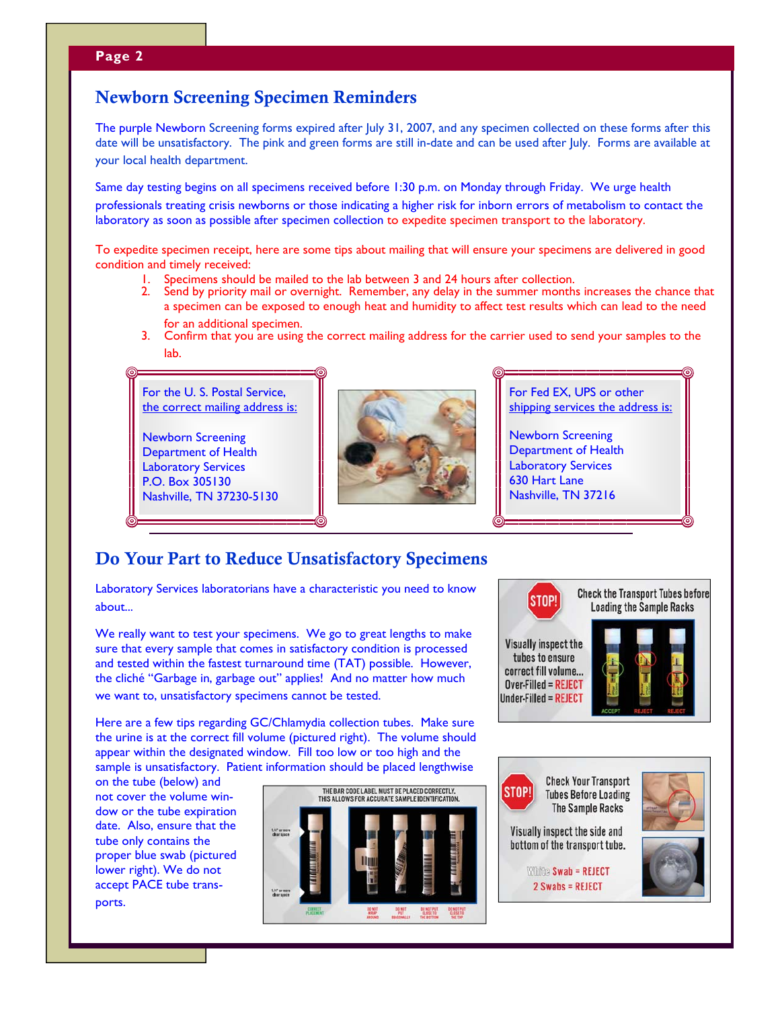# **Page 2**

# Newborn Screening Specimen Reminders

The purple Newborn Screening forms expired after July 31, 2007, and any specimen collected on these forms after this date will be unsatisfactory. The pink and green forms are still in-date and can be used after July. Forms are available at your local health department.

Same day testing begins on all specimens received before 1:30 p.m. on Monday through Friday. We urge health professionals treating crisis newborns or those indicating a higher risk for inborn errors of metabolism to contact the laboratory as soon as possible after specimen collection to expedite specimen transport to the laboratory.

To expedite specimen receipt, here are some tips about mailing that will ensure your specimens are delivered in good condition and timely received:

- 1. Specimens should be mailed to the lab between 3 and 24 hours after collection.<br>2. Send by priority mail or overnight. Remember, any delay in the summer months
- Send by priority mail or overnight. Remember, any delay in the summer months increases the chance that a specimen can be exposed to enough heat and humidity to affect test results which can lead to the need for an additional specimen.
- 3. Confirm that you are using the correct mailing address for the carrier used to send your samples to the lab.

For the U. S. Postal Service, the correct mailing address is:

Newborn Screening Department of Health Laboratory Services P.O. Box 305130 Nashville, TN 37230-5130



For Fed EX, UPS or other shipping services the address is:

Newborn Screening Department of Health Laboratory Services 630 Hart Lane Nashville, TN 37216

# Do Your Part to Reduce Unsatisfactory Specimens

Laboratory Services laboratorians have a characteristic you need to know about...

We really want to test your specimens. We go to great lengths to make sure that every sample that comes in satisfactory condition is processed and tested within the fastest turnaround time (TAT) possible. However, the cliché "Garbage in, garbage out" applies! And no matter how much we want to, unsatisfactory specimens cannot be tested.

Here are a few tips regarding GC/Chlamydia collection tubes. Make sure the urine is at the correct fill volume (pictured right). The volume should appear within the designated window. Fill too low or too high and the sample is unsatisfactory. Patient information should be placed lengthwise

on the tube (below) and not cover the volume window or the tube expiration date. Also, ensure that the tube only contains the proper blue swab (pictured lower right). We do not accept PACE tube transports.





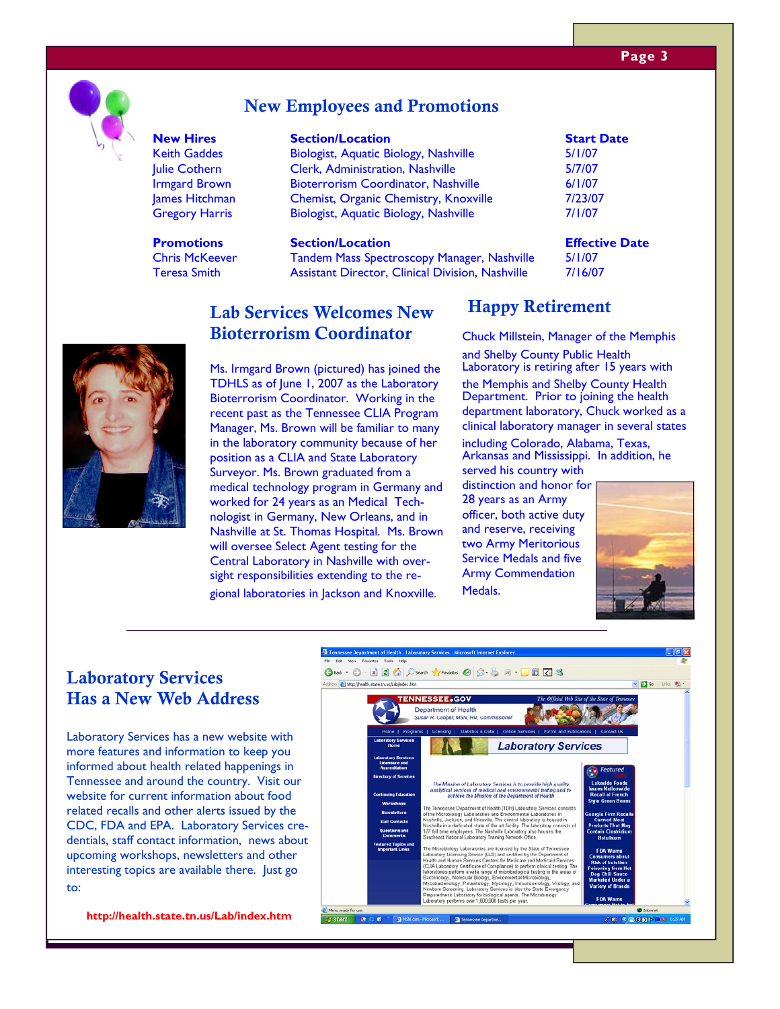### **Page 3**



# New Employees and Promotions

**Promotions Section/Location Effective Date** 

#### **New Hires** Section/Location Section Start Date

**Name Started Leapers** Clerk, Administration, Nashville 5/7/07 Irmgard Brown Bioterrorism Coordinator, Nashville 6/1/07 James Hitchman Chemist, Organic Chemistry, Knoxville 7/23/07 Gregory Harris Biologist, Aquatic Biology, Nashville 7/1/07 Keith Gaddes **Biologist, Aquatic Biology, Nashville** 5/1/07

Chris McKeever **Tandem Mass Spectroscopy Manager, Nashville** 5/1/07 Teresa Smith **Assistant Director, Clinical Division**, Nashville 7/16/07

#### $\Gamma$ <sub>c</sub>h Comicee Welcome New  $\overline{\text{H}}$ Lab Services Welcomes New 116 **Bioterrorism Coordinator**

Ms. Irmgard Brown (pictured) has joined the TDHLS as of June 1, 2007 as the Laboratory Bioterrorism Coordinator. Working in the recent past as the Tennessee CLIA Program Manager, Ms. Brown will be familiar to many in the laboratory community because of her position as a CLIA and State Laboratory Surveyor. Ms. Brown graduated from a medical technology program in Germany and worked for 24 years as an Medical Technologist in Germany, New Orleans, and in Nashville at St. Thomas Hospital. Ms. Brown will oversee Select Agent testing for the Central Laboratory in Nashville with oversight responsibilities extending to the regional laboratories in Jackson and Knoxville.

# Happy Retirement

Chuck Millstein, Manager of the Memphis and Shelby County Public Health Laboratory is retiring after 15 years with the Memphis and Shelby County Health Department. Prior to joining the health department laboratory, Chuck worked as a clinical laboratory manager in several states

including Colorado, Alabama, Texas, Arkansas and Mississippi. In addition, he served his country with

distinction and honor for 28 years as an Army officer, both active duty and reserve, receiving two Army Meritorious Service Medals and five Army Commendation Medals.



# Laboratory Services Has a New Web Address

Laboratory Services has a new website with more features and information to keep you informed about health related happenings in Tennessee and around the country. Visit our website for current information about food related recalls and other alerts issued by the CDC, FDA and EPA. Laboratory Services credentials, staff contact information, news about upcoming workshops, newsletters and other interesting topics are available there. Just go to:

**http://health.state.tn.us/Lab/index.htm** 



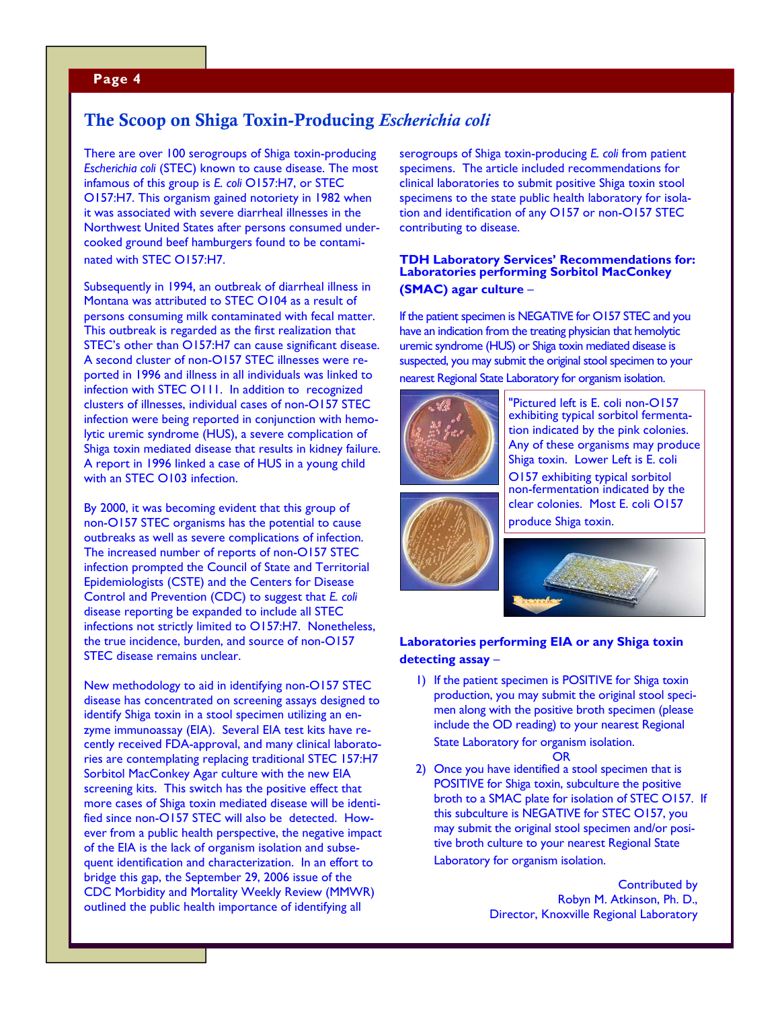### **Page 4**

# The Scoop on Shiga Toxin-Producing *Escherichia coli*

There are over 100 serogroups of Shiga toxin-producing *Escherichia coli* (STEC) known to cause disease. The most infamous of this group is *E. coli* O157:H7, or STEC O157:H7. This organism gained notoriety in 1982 when it was associated with severe diarrheal illnesses in the Northwest United States after persons consumed undercooked ground beef hamburgers found to be contaminated with STEC O157:H7.

Subsequently in 1994, an outbreak of diarrheal illness in Montana was attributed to STEC O104 as a result of persons consuming milk contaminated with fecal matter. This outbreak is regarded as the first realization that STEC's other than O157:H7 can cause significant disease. A second cluster of non-O157 STEC illnesses were reported in 1996 and illness in all individuals was linked to infection with STEC O111. In addition to recognized clusters of illnesses, individual cases of non-O157 STEC infection were being reported in conjunction with hemolytic uremic syndrome (HUS), a severe complication of Shiga toxin mediated disease that results in kidney failure. A report in 1996 linked a case of HUS in a young child with an STEC O103 infection.

By 2000, it was becoming evident that this group of non-O157 STEC organisms has the potential to cause outbreaks as well as severe complications of infection. The increased number of reports of non-O157 STEC infection prompted the Council of State and Territorial Epidemiologists (CSTE) and the Centers for Disease Control and Prevention (CDC) to suggest that *E. coli* disease reporting be expanded to include all STEC infections not strictly limited to O157:H7. Nonetheless, the true incidence, burden, and source of non-O157 STEC disease remains unclear.

New methodology to aid in identifying non-O157 STEC disease has concentrated on screening assays designed to identify Shiga toxin in a stool specimen utilizing an enzyme immunoassay (EIA). Several EIA test kits have recently received FDA-approval, and many clinical laboratories are contemplating replacing traditional STEC 157:H7 Sorbitol MacConkey Agar culture with the new EIA screening kits. This switch has the positive effect that more cases of Shiga toxin mediated disease will be identified since non-O157 STEC will also be detected. However from a public health perspective, the negative impact of the EIA is the lack of organism isolation and subsequent identification and characterization. In an effort to bridge this gap, the September 29, 2006 issue of the CDC Morbidity and Mortality Weekly Review (MMWR) outlined the public health importance of identifying all

serogroups of Shiga toxin-producing *E. coli* from patient specimens. The article included recommendations for clinical laboratories to submit positive Shiga toxin stool specimens to the state public health laboratory for isolation and identification of any O157 or non-O157 STEC contributing to disease.

### **TDH Laboratory Services' Recommendations for: Laboratories performing Sorbitol MacConkey (SMAC) agar culture** –

If the patient specimen is NEGATIVE for O157 STEC and you have an indication from the treating physician that hemolytic uremic syndrome (HUS) or Shiga toxin mediated disease is suspected, you may submit the original stool specimen to your nearest Regional State Laboratory for organism isolation.



"Pictured left is E. coli non-O157 exhibiting typical sorbitol fermentation indicated by the pink colonies. Any of these organisms may produce Shiga toxin. Lower Left is E. coli O157 exhibiting typical sorbitol non-fermentation indicated by the clear colonies. Most E. coli O157 produce Shiga toxin.



### **Laboratories performing EIA or any Shiga toxin detecting assay** –

- 1) If the patient specimen is POSITIVE for Shiga toxin production, you may submit the original stool specimen along with the positive broth specimen (please include the OD reading) to your nearest Regional State Laboratory for organism isolation.
	- OR
- 2) Once you have identified a stool specimen that is POSITIVE for Shiga toxin, subculture the positive broth to a SMAC plate for isolation of STEC O157. If this subculture is NEGATIVE for STEC O157, you may submit the original stool specimen and/or positive broth culture to your nearest Regional State Laboratory for organism isolation.

Contributed by Robyn M. Atkinson, Ph. D., Director, Knoxville Regional Laboratory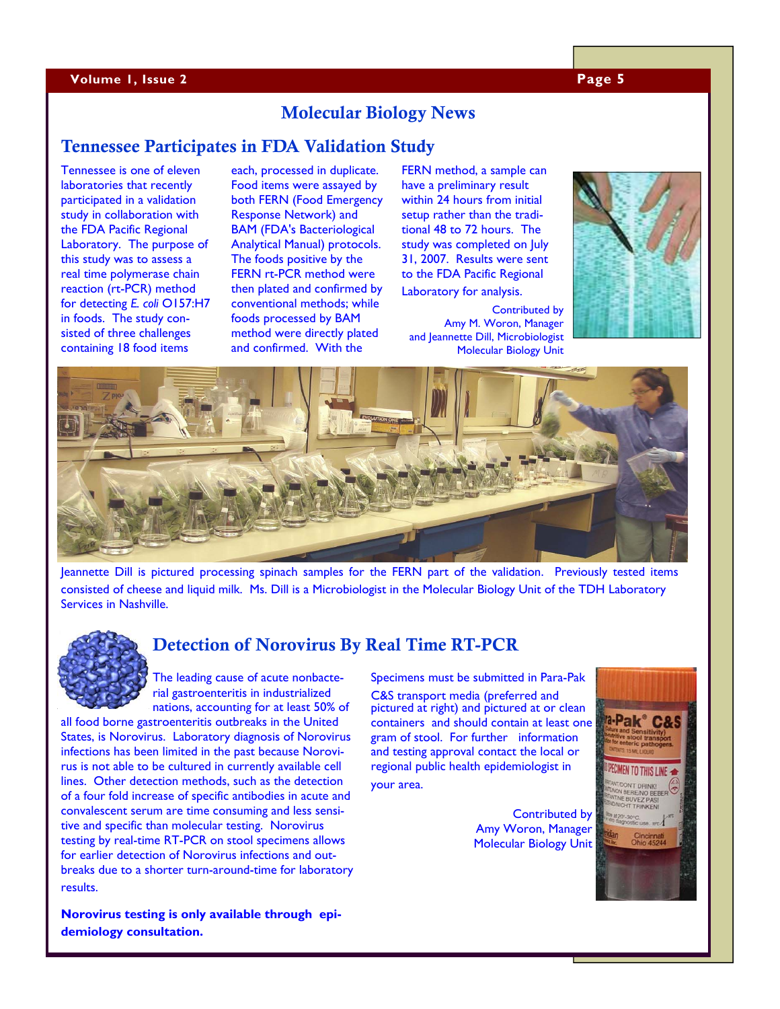#### **Volume 1, Issue 2 Page 5**

# Molecular Biology News

# Tennessee Participates in FDA Validation Study

Tennessee is one of eleven laboratories that recently participated in a validation study in collaboration with the FDA Pacific Regional Laboratory. The purpose of this study was to assess a real time polymerase chain reaction (rt-PCR) method for detecting *E. coli* O157:H7 in foods. The study consisted of three challenges containing 18 food items

each, processed in duplicate. Food items were assayed by both FERN (Food Emergency Response Network) and BAM (FDA's Bacteriological Analytical Manual) protocols. The foods positive by the FERN rt-PCR method were then plated and confirmed by conventional methods; while foods processed by BAM method were directly plated and confirmed. With the

FERN method, a sample can have a preliminary result within 24 hours from initial setup rather than the traditional 48 to 72 hours. The study was completed on July 31, 2007. Results were sent to the FDA Pacific Regional Laboratory for analysis.

Contributed by Amy M. Woron, Manager and Jeannette Dill, Microbiologist Molecular Biology Unit





Jeannette Dill is pictured processing spinach samples for the FERN part of the validation. Previously tested items consisted of cheese and liquid milk. Ms. Dill is a Microbiologist in the Molecular Biology Unit of the TDH Laboratory Services in Nashville.



# Detection of Norovirus By Real Time RT-PCR

The leading cause of acute nonbacterial gastroenteritis in industrialized nations, accounting for at least 50% of

all food borne gastroenteritis outbreaks in the United States, is Norovirus. Laboratory diagnosis of Norovirus infections has been limited in the past because Norovirus is not able to be cultured in currently available cell lines. Other detection methods, such as the detection of a four fold increase of specific antibodies in acute and convalescent serum are time consuming and less sensitive and specific than molecular testing. Norovirus testing by real-time RT-PCR on stool specimens allows for earlier detection of Norovirus infections and outbreaks due to a shorter turn-around-time for laboratory results.

**Norovirus testing is only available through epidemiology consultation.** 

Specimens must be submitted in Para-Pak C&S transport media (preferred and pictured at right) and pictured at or clean containers and should contain at least one gram of stool. For further information and testing approval contact the local or regional public health epidemiologist in your area.

> Contributed by Amy Woron, Manager Molecular Biology Unit